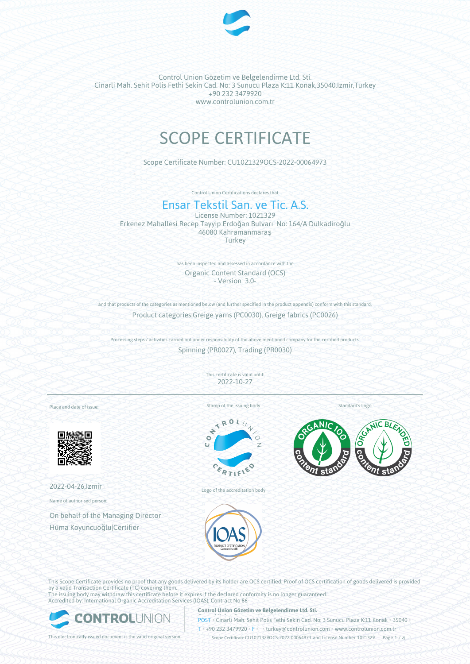

# SCOPE CERTIFICATE

Scope Certificate Number: CU1021329OCS-2022-00064973

Control Union Certifications declares that

# Ensar Tekstil San. ve Tic. A.S.

License Number: 1021329 Erkenez Mahallesi Recep Tayyip Erdoğan Bulvarı No: 164/A Dulkadiroğlu 46080 Kahramanmaraş **Turkey** 

> has been inspected and assessed in accordance with the Organic Content Standard (OCS) - Version 3.0-

and that products of the categories as mentioned below (and further specified in the product appendix) conform with this standard. Product categories:Greige yarns (PC0030), Greige fabrics (PC0026)

Processing steps / activities carried out under responsibility of the above mentioned company for the certified products: Spinning (PR0027), Trading (PR0030)

> This certificate is valid until: 2022-10-27

Place and date of issue:



2022-04-26,Izmir

Name of authorised person:

On behalf of the Managing Director Hüma Koyuncuoğlu|Certifier

Stamp of the issuing body

 $\mathbf{R}$ è  $\circ$ ō





Logo of the accreditation body

This Scope Certificate provides no proof that any goods delivered by its holder are OCS certified. Proof of OCS certification of goods delivered is provided by a valid Transaction Certificate (TC) covering them. The issuing body may withdraw this certificate before it expires if the declared conformity is no longer guaranteed.

Accredited by: International Organic Accreditation Services (IOAS); Contract No 86



#### **Control Union Gözetim ve Belgelendirme Ltd. Sti.**

**POST** Cinarli Mah. Sehit Polis Fethi Sekin Cad. No: 3 Sunucu Plaza K:11 Konak • 35040

T • +90 232 3479920 • F • • turkey@controlunion.com • www.controlunion.com.tr

This electronically issued document is the valid original version. Scope Certificate CU1021329OCS-2022-00064973 and License Number 1021329 Page 1 / 4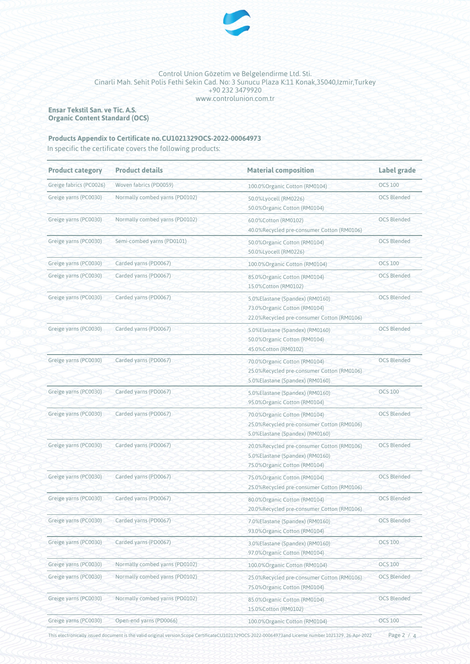

**Ensar Tekstil San. ve Tic. A.S. Organic Content Standard (OCS)**

### Products Appendix to Certificate no. CU1021329OCS-2022-00064973

In specific the certificate covers the following products:

| <b>Product category</b> | <b>Product details</b>         | <b>Material composition</b>                                                                                    | Label grade        |
|-------------------------|--------------------------------|----------------------------------------------------------------------------------------------------------------|--------------------|
| Greige fabrics (PC0026) | Woven fabrics (PD0059)         | 100.0% Organic Cotton (RM0104)                                                                                 | <b>OCS 100</b>     |
| Greige yarns (PC0030)   | Normally combed yarns (PD0102) | 50.0%Lyocell (RM0226)<br>50.0%Organic Cotton (RM0104)                                                          | <b>OCS Blended</b> |
| Greige yarns (PC0030)   | Normally combed yarns (PD0102) | 60.0%Cotton (RM0102)<br>40.0%Recycled pre-consumer Cotton (RM0106)                                             | <b>OCS Blended</b> |
| Greige yarns (PC0030)   | Semi-combed yarns (PD0101)     | 50.0%Organic Cotton (RM0104)<br>50.0%Lyocell (RM0226)                                                          | <b>OCS Blended</b> |
| Greige yarns (PC0030)   | Carded yarns (PD0067)          | 100.0% Organic Cotton (RM0104)                                                                                 | <b>OCS 100</b>     |
| Greige yarns (PC0030)   | Carded yarns (PD0067)          | 85.0% Organic Cotton (RM0104)<br>15.0%Cotton (RM0102)                                                          | <b>OCS Blended</b> |
| Greige yarns (PC0030)   | Carded yarns (PD0067)          | 5.0%Elastane (Spandex) (RM0160)<br>73.0% Organic Cotton (RM0104)<br>22.0%Recycled pre-consumer Cotton (RM0106) | <b>OCS Blended</b> |
| Greige yarns (PC0030)   | Carded yarns (PD0067)          | 5.0%Elastane (Spandex) (RM0160)<br>50.0% Organic Cotton (RM0104)<br>45.0%Cotton (RM0102)                       | <b>OCS Blended</b> |
| Greige yarns (PC0030)   | Carded yarns (PD0067)          | 70.0% Organic Cotton (RM0104)<br>25.0%Recycled pre-consumer Cotton (RM0106)<br>5.0%Elastane (Spandex) (RM0160) | <b>OCS Blended</b> |
| Greige yarns (PC0030)   | Carded yarns (PD0067)          | 5.0%Elastane (Spandex) (RM0160)<br>95.0%Organic Cotton (RM0104)                                                | <b>OCS 100</b>     |
| Greige yarns (PC0030)   | Carded yarns (PD0067)          | 70.0% Organic Cotton (RM0104)<br>25.0%Recycled pre-consumer Cotton (RM0106)<br>5.0%Elastane (Spandex) (RM0160) | <b>OCS Blended</b> |
| Greige yarns (PC0030)   | Carded yarns (PD0067)          | 20.0%Recycled pre-consumer Cotton (RM0106)<br>5.0%Elastane (Spandex) (RM0160)<br>75.0% Organic Cotton (RM0104) | <b>OCS Blended</b> |
| Greige yarns (PC0030)   | Carded yarns (PD0067)          | 75.0% Organic Cotton (RM0104)<br>25.0%Recycled pre-consumer Cotton (RM0106)                                    | <b>OCS Blended</b> |
| Greige yarns (PC0030)   | Carded yarns (PD0067)          | 80.0% Organic Cotton (RM0104)<br>20.0%Recycled pre-consumer Cotton (RM0106)                                    | <b>OCS Blended</b> |
| Greige yarns (PC0030)   | Carded yarns (PD0067)          | 7.0%Elastane (Spandex) (RM0160)<br>93.0%Organic Cotton (RM0104)                                                | <b>OCS Blended</b> |
| Greige yarns (PC0030)   | Carded yarns (PD0067)          | 3.0%Elastane (Spandex) (RM0160)<br>97.0%Organic Cotton (RM0104)                                                | <b>OCS 100</b>     |
| Greige yarns (PC0030)   | Normally combed yarns (PD0102) | 100.0% Organic Cotton (RM0104)                                                                                 | <b>OCS 100</b>     |
| Greige yarns (PC0030)   | Normally combed yarns (PD0102) | 25.0%Recycled pre-consumer Cotton (RM0106)<br>75.0% Organic Cotton (RM0104)                                    | <b>OCS Blended</b> |
| Greige yarns (PC0030)   | Normally combed yarns (PD0102) | 85.0% Organic Cotton (RM0104)<br>15.0%Cotton (RM0102)                                                          | <b>OCS Blended</b> |
| Greige yarns (PC0030)   | Open-end yarns (PD0066)        | 100.0% Organic Cotton (RM0104)                                                                                 | <b>OCS 100</b>     |

This electronically issued document is the valid original version.Scope CertificateCU1021329OCS-2022-00064973and License number 1021329, 26-Apr-2022

Page 2 / 4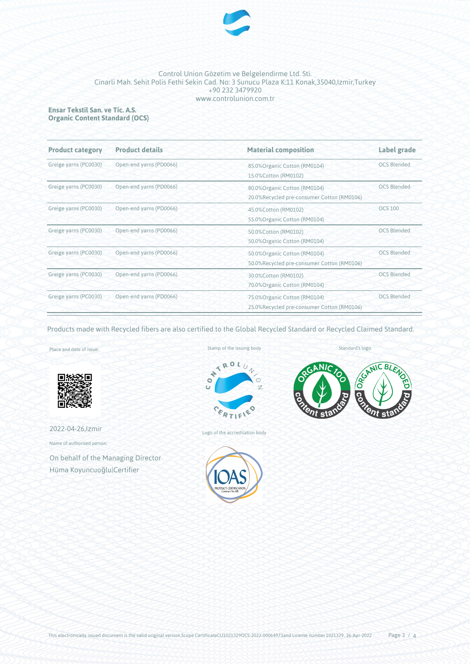

#### **Ensar Tekstil San. ve Tic. A.S. Organic Content Standard (OCS)**

| <b>Product category</b> | <b>Product details</b>  | <b>Material composition</b>                                                                       | Label grade        |
|-------------------------|-------------------------|---------------------------------------------------------------------------------------------------|--------------------|
| Greige yarns (PC0030)   | Open-end yarns (PD0066) | 85.0% Organic Cotton (RM0104)<br>15.0%Cotton (RM0102)                                             | <b>OCS Blended</b> |
| Greige yarns (PC0030)   | Open-end yarns (PD0066) | <b>OCS Blended</b><br>80.0% Organic Cotton (RM0104)<br>20.0%Recycled pre-consumer Cotton (RM0106) |                    |
| Greige yarns (PC0030)   | Open-end yarns (PD0066) | 45.0%Cotton (RM0102)<br>55.0% Organic Cotton (RM0104)                                             | <b>OCS 100</b>     |
| Greige yarns (PC0030)   | Open-end yarns (PD0066) | 50.0%Cotton (RM0102)<br>50.0% Organic Cotton (RM0104)                                             | <b>OCS Blended</b> |
| Greige yarns (PC0030)   | Open-end yarns (PD0066) | <b>OCS Blended</b><br>50.0% Organic Cotton (RM0104)<br>50.0%Recycled pre-consumer Cotton (RM0106) |                    |
| Greige yarns (PC0030)   | Open-end yarns (PD0066) | 30.0% Cotton (RM0102)<br>70.0% Organic Cotton (RM0104)                                            | <b>OCS Blended</b> |
| Greige yarns (PC0030)   | Open-end yarns (PD0066) | 75.0% Organic Cotton (RM0104)<br>25.0%Recycled pre-consumer Cotton (RM0106)                       | <b>OCS Blended</b> |

Products made with Recycled fibers are also certified to the Global Recycled Standard or Recycled Claimed Standard.

Place and date of issue:



2022-04-26,Izmir

Name of authorised person:

On behalf of the Managing Director Hüma Koyuncuoğlu|Certifier





Logo of the accreditation body





Standard's logo